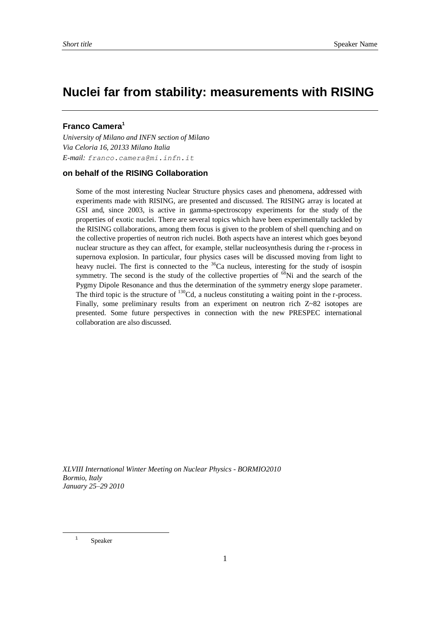# **Nuclei far from stability: measurements with RISING**

## **Franco Camera<sup>1</sup>**

*University of Milano and INFN section of Milano Via Celoria 16, 20133 Milano Italia E-mail: franco.camera@mi.infn.it*

## **on behalf of the RISING Collaboration**

Some of the most interesting Nuclear Structure physics cases and phenomena, addressed with experiments made with RISING, are presented and discussed. The RISING array is located at GSI and, since 2003, is active in gamma-spectroscopy experiments for the study of the properties of exotic nuclei. There are several topics which have been experimentally tackled by the RISING collaborations, among them focus is given to the problem of shell quenching and on the collective properties of neutron rich nuclei. Both aspects have an interest which goes beyond nuclear structure as they can affect, for example, stellar nucleosynthesis during the r-process in supernova explosion. In particular, four physics cases will be discussed moving from light to heavy nuclei. The first is connected to the  $36$ Ca nucleus, interesting for the study of isospin symmetry. The second is the study of the collective properties of <sup>68</sup>Ni and the search of the Pygmy Dipole Resonance and thus the determination of the symmetry energy slope parameter. The third topic is the structure of  $^{130}$ Cd, a nucleus constituting a waiting point in the r-process. Finally, some preliminary results from an experiment on neutron rich  $Z~82$  isotopes are presented. Some future perspectives in connection with the new PRESPEC international collaboration are also discussed.

*XLVIII International Winter Meeting on Nuclear Physics - BORMIO2010 Bormio, Italy January 25–29 2010*

1 Speaker

 $\overline{a}$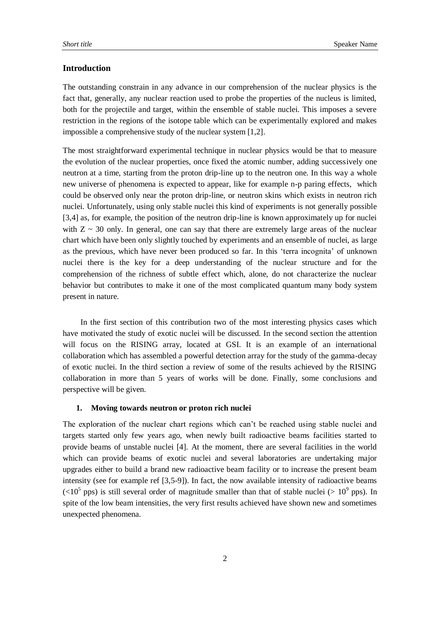## **Introduction**

The outstanding constrain in any advance in our comprehension of the nuclear physics is the fact that, generally, any nuclear reaction used to probe the properties of the nucleus is limited, both for the projectile and target, within the ensemble of stable nuclei. This imposes a severe restriction in the regions of the isotope table which can be experimentally explored and makes impossible a comprehensive study of the nuclear system [1,2].

The most straightforward experimental technique in nuclear physics would be that to measure the evolution of the nuclear properties, once fixed the atomic number, adding successively one neutron at a time, starting from the proton drip-line up to the neutron one. In this way a whole new universe of phenomena is expected to appear, like for example n-p paring effects, which could be observed only near the proton drip-line, or neutron skins which exists in neutron rich nuclei. Unfortunately, using only stable nuclei this kind of experiments is not generally possible [3,4] as, for example, the position of the neutron drip-line is known approximately up for nuclei with  $Z \sim 30$  only. In general, one can say that there are extremely large areas of the nuclear chart which have been only slightly touched by experiments and an ensemble of nuclei, as large as the previous, which have never been produced so far. In this "terra incognita" of unknown nuclei there is the key for a deep understanding of the nuclear structure and for the comprehension of the richness of subtle effect which, alone, do not characterize the nuclear behavior but contributes to make it one of the most complicated quantum many body system present in nature.

In the first section of this contribution two of the most interesting physics cases which have motivated the study of exotic nuclei will be discussed. In the second section the attention will focus on the RISING array, located at GSI. It is an example of an international collaboration which has assembled a powerful detection array for the study of the gamma-decay of exotic nuclei. In the third section a review of some of the results achieved by the RISING collaboration in more than 5 years of works will be done. Finally, some conclusions and perspective will be given.

#### **1. Moving towards neutron or proton rich nuclei**

The exploration of the nuclear chart regions which can"t be reached using stable nuclei and targets started only few years ago, when newly built radioactive beams facilities started to provide beams of unstable nuclei [4]. At the moment, there are several facilities in the world which can provide beams of exotic nuclei and several laboratories are undertaking major upgrades either to build a brand new radioactive beam facility or to increase the present beam intensity (see for example ref [3,5-9]). In fact, the now available intensity of radioactive beams  $(<10<sup>5</sup>$  pps) is still several order of magnitude smaller than that of stable nuclei (> 10<sup>9</sup> pps). In spite of the low beam intensities, the very first results achieved have shown new and sometimes unexpected phenomena.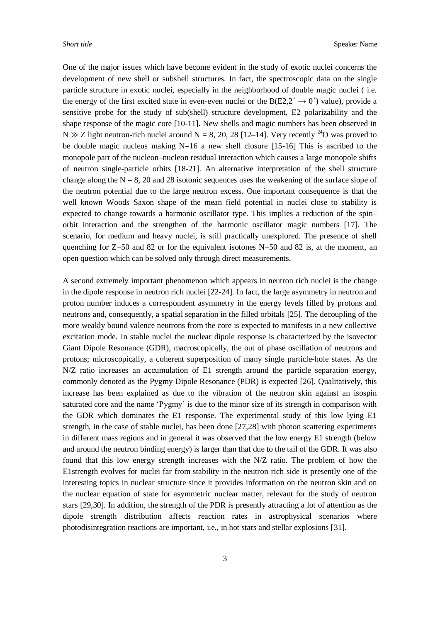One of the major issues which have become evident in the study of exotic nuclei concerns the development of new shell or subshell structures. In fact, the spectroscopic data on the single particle structure in exotic nuclei, especially in the neighborhood of double magic nuclei ( i.e. the energy of the first excited state in even-even nuclei or the  $B(E2,2^+ \rightarrow 0^+)$  value), provide a sensitive probe for the study of sub(shell) structure development, E2 polarizability and the shape response of the magic core [10-11]. New shells and magic numbers has been observed in N  $\gg$  Z light neutron-rich nuclei around N = 8, 20, 28 [12–14]. Very recently <sup>24</sup>O was proved to be double magic nucleus making  $N=16$  a new shell closure [15-16] This is ascribed to the monopole part of the nucleon–nucleon residual interaction which causes a large monopole shifts of neutron single-particle orbits [18-21]. An alternative interpretation of the shell structure change along the  $N = 8$ , 20 and 28 isotonic sequences uses the weakening of the surface slope of the neutron potential due to the large neutron excess. One important consequence is that the well known Woods–Saxon shape of the mean field potential in nuclei close to stability is expected to change towards a harmonic oscillator type. This implies a reduction of the spin– orbit interaction and the strengthen of the harmonic oscillator magic numbers [17]. The scenario, for medium and heavy nuclei, is still practically unexplored. The presence of shell quenching for  $Z=50$  and 82 or for the equivalent isotones N=50 and 82 is, at the moment, an open question which can be solved only through direct measurements.

A second extremely important phenomenon which appears in neutron rich nuclei is the change in the dipole response in neutron rich nuclei [22-24]. In fact, the large asymmetry in neutron and proton number induces a correspondent asymmetry in the energy levels filled by protons and neutrons and, consequently, a spatial separation in the filled orbitals [25]. The decoupling of the more weakly bound valence neutrons from the core is expected to manifests in a new collective excitation mode. In stable nuclei the nuclear dipole response is characterized by the isovector Giant Dipole Resonance (GDR), macroscopically, the out of phase oscillation of neutrons and protons; microscopically, a coherent superposition of many single particle-hole states. As the N/Z ratio increases an accumulation of E1 strength around the particle separation energy, commonly denoted as the Pygmy Dipole Resonance (PDR) is expected [26]. Qualitatively, this increase has been explained as due to the vibration of the neutron skin against an isospin saturated core and the name "Pygmy" is due to the minor size of its strength in comparison with the GDR which dominates the E1 response. The experimental study of this low lying E1 strength, in the case of stable nuclei, has been done [27,28] with photon scattering experiments in different mass regions and in general it was observed that the low energy E1 strength (below and around the neutron binding energy) is larger than that due to the tail of the GDR. It was also found that this low energy strength increases with the N/Z ratio. The problem of how the E1strength evolves for nuclei far from stability in the neutron rich side is presently one of the interesting topics in nuclear structure since it provides information on the neutron skin and on the nuclear equation of state for asymmetric nuclear matter, relevant for the study of neutron stars [29,30]. In addition, the strength of the PDR is presently attracting a lot of attention as the dipole strength distribution affects reaction rates in astrophysical scenarios where photodisintegration reactions are important, i.e., in hot stars and stellar explosions [31].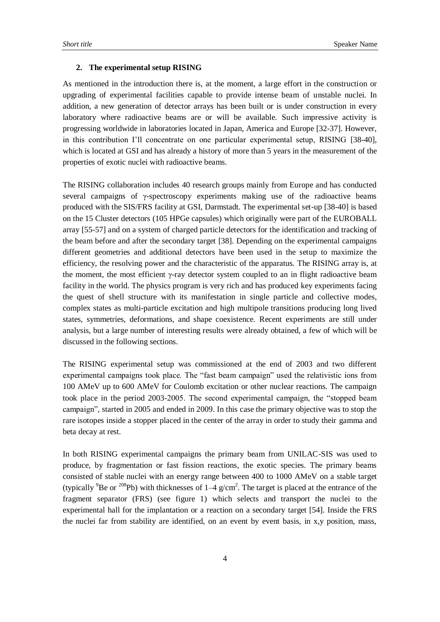#### **2. The experimental setup RISING**

As mentioned in the introduction there is, at the moment, a large effort in the construction or upgrading of experimental facilities capable to provide intense beam of unstable nuclei. In addition, a new generation of detector arrays has been built or is under construction in every laboratory where radioactive beams are or will be available. Such impressive activity is progressing worldwide in laboratories located in Japan, America and Europe [32-37]. However, in this contribution I"ll concentrate on one particular experimental setup, RISING [38-40], which is located at GSI and has already a history of more than 5 years in the measurement of the properties of exotic nuclei with radioactive beams.

The RISING collaboration includes 40 research groups mainly from Europe and has conducted several campaigns of γ-spectroscopy experiments making use of the radioactive beams produced with the SIS/FRS facility at GSI, Darmstadt. The experimental set-up [38-40] is based on the 15 Cluster detectors (105 HPGe capsules) which originally were part of the EUROBALL array [55-57] and on a system of charged particle detectors for the identification and tracking of the beam before and after the secondary target [38]. Depending on the experimental campaigns different geometries and additional detectors have been used in the setup to maximize the efficiency, the resolving power and the characteristic of the apparatus. The RISING array is, at the moment, the most efficient γ-ray detector system coupled to an in flight radioactive beam facility in the world. The physics program is very rich and has produced key experiments facing the quest of shell structure with its manifestation in single particle and collective modes, complex states as multi-particle excitation and high multipole transitions producing long lived states, symmetries, deformations, and shape coexistence. Recent experiments are still under analysis, but a large number of interesting results were already obtained, a few of which will be discussed in the following sections.

The RISING experimental setup was commissioned at the end of 2003 and two different experimental campaigns took place. The "fast beam campaign" used the relativistic ions from 100 AMeV up to 600 AMeV for Coulomb excitation or other nuclear reactions. The campaign took place in the period 2003-2005. The second experimental campaign, the "stopped beam campaign", started in 2005 and ended in 2009. In this case the primary objective was to stop the rare isotopes inside a stopper placed in the center of the array in order to study their gamma and beta decay at rest.

In both RISING experimental campaigns the primary beam from UNILAC-SIS was used to produce, by fragmentation or fast fission reactions, the exotic species. The primary beams consisted of stable nuclei with an energy range between 400 to 1000 AMeV on a stable target (typically  ${}^{9}$ Be or  ${}^{208}$ Pb) with thicknesses of 1–4 g/cm<sup>2</sup>. The target is placed at the entrance of the fragment separator (FRS) (see figure 1) which selects and transport the nuclei to the experimental hall for the implantation or a reaction on a secondary target [54]. Inside the FRS the nuclei far from stability are identified, on an event by event basis, in x,y position, mass,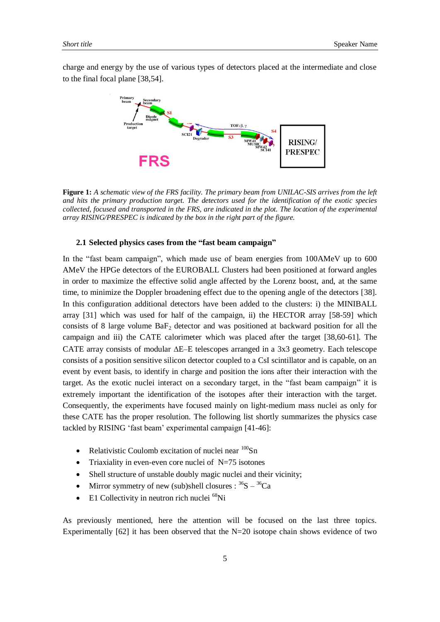charge and energy by the use of various types of detectors placed at the intermediate and close to the final focal plane [38,54].



**Figure 1:** *A schematic view of the FRS facility. The primary beam from UNILAC-SIS arrives from the left and hits the primary production target. The detectors used for the identification of the exotic species collected, focused and transported in the FRS, are indicated in the plot. The location of the experimental array RISING/PRESPEC is indicated by the box in the right part of the figure.*

#### **2.1 Selected physics cases from the "fast beam campaign"**

In the "fast beam campaign", which made use of beam energies from 100AMeV up to 600 AMeV the HPGe detectors of the EUROBALL Clusters had been positioned at forward angles in order to maximize the effective solid angle affected by the Lorenz boost, and, at the same time, to minimize the Doppler broadening effect due to the opening angle of the detectors [38]. In this configuration additional detectors have been added to the clusters: i) the MINIBALL array [31] which was used for half of the campaign, ii) the HECTOR array [58-59] which consists of 8 large volume  $BaF<sub>2</sub>$  detector and was positioned at backward position for all the campaign and iii) the CATE calorimeter which was placed after the target [38,60-61]. The CATE array consists of modular  $\Delta E-E$  telescopes arranged in a 3x3 geometry. Each telescope consists of a position sensitive silicon detector coupled to a CsI scintillator and is capable, on an event by event basis, to identify in charge and position the ions after their interaction with the target. As the exotic nuclei interact on a secondary target, in the "fast beam campaign" it is extremely important the identification of the isotopes after their interaction with the target. Consequently, the experiments have focused mainly on light-medium mass nuclei as only for these CATE has the proper resolution. The following list shortly summarizes the physics case tackled by RISING "fast beam" experimental campaign [41-46]:

- Relativistic Coulomb excitation of nuclei near  $^{100}Sn$
- Triaxiality in even-even core nuclei of  $N=75$  isotones
- Shell structure of unstable doubly magic nuclei and their vicinity:
- Mirror symmetry of new (sub)shell closures :  $36S 36Ca$
- $\bullet$  E1 Collectivity in neutron rich nuclei  $^{68}$ Ni

As previously mentioned, here the attention will be focused on the last three topics. Experimentally  $[62]$  it has been observed that the N=20 isotope chain shows evidence of two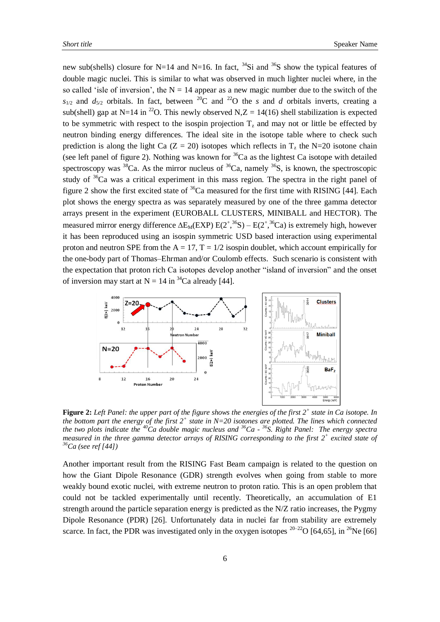new sub(shells) closure for N=14 and N=16. In fact, <sup>34</sup>Si and <sup>36</sup>S show the typical features of double magic nuclei. This is similar to what was observed in much lighter nuclei where, in the so called 'isle of inversion', the  $N = 14$  appear as a new magic number due to the switch of the  $s_{1/2}$  and  $d_{5/2}$  orbitals. In fact, between <sup>20</sup>C and <sup>22</sup>O the *s* and *d* orbitals inverts, creating a sub(shell) gap at N=14 in <sup>22</sup>O. This newly observed N,Z = 14(16) shell stabilization is expected to be symmetric with respect to the isospin projection  $T_z$  and may not or little be effected by neutron binding energy differences. The ideal site in the isotope table where to check such prediction is along the light Ca ( $Z = 20$ ) isotopes which reflects in T<sub>z</sub> the N=20 isotone chain (see left panel of figure 2). Nothing was known for  ${}^{36}Ca$  as the lightest Ca isotope with detailed spectroscopy was  ${}^{38}$ Ca. As the mirror nucleus of  ${}^{36}$ Ca, namely  ${}^{36}S$ , is known, the spectroscopic study of  $36$ Ca was a critical experiment in this mass region. The spectra in the right panel of figure 2 show the first excited state of  ${}^{36}Ca$  measured for the first time with RISING [44]. Each plot shows the energy spectra as was separately measured by one of the three gamma detector arrays present in the experiment (EUROBALL CLUSTERS, MINIBALL and HECTOR). The measured mirror energy difference  $\Delta E_M(EXP) E(2^+, {^{36}S}) - E(2^+, {^{36}Ca})$  is extremely high, however it has been reproduced using an isospin symmetric USD based interaction using experimental proton and neutron SPE from the  $A = 17$ ,  $T = 1/2$  isospin doublet, which account empirically for the one-body part of Thomas–Ehrman and/or Coulomb effects. Such scenario is consistent with the expectation that proton rich Ca isotopes develop another "island of inversion" and the onset of inversion may start at  $N = 14$  in <sup>34</sup>Ca already [44].



**Figure 2:** *Left Panel: the upper part of the figure shows the energies of the first 2<sup>+</sup> state in Ca isotope. In the bottom part the energy of the first 2<sup>+</sup> state in N=20 isotones are plotted. The lines which connected the two plots indicate the <sup>40</sup>Ca double magic nucleus and <sup>36</sup>Ca - <sup>36</sup>S. Right Panel: The energy spectra measured in the three gamma detector arrays of RISING corresponding to the first 2 + excited state of <sup>36</sup>Ca (see ref [44])*

Another important result from the RISING Fast Beam campaign is related to the question on how the Giant Dipole Resonance (GDR) strength evolves when going from stable to more weakly bound exotic nuclei, with extreme neutron to proton ratio. This is an open problem that could not be tackled experimentally until recently. Theoretically, an accumulation of E1 strength around the particle separation energy is predicted as the N/Z ratio increases, the Pygmy Dipole Resonance (PDR) [26]. Unfortunately data in nuclei far from stability are extremely scarce. In fact, the PDR was investigated only in the oxygen isotopes  $^{20-22}$ O [64,65], in  $^{26}$ Ne [66]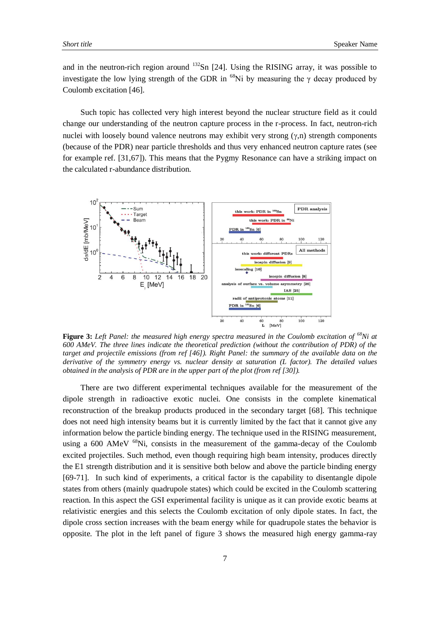and in the neutron-rich region around  $^{132}$ Sn [24]. Using the RISING array, it was possible to investigate the low lying strength of the GDR in <sup>68</sup>Ni by measuring the  $\gamma$  decay produced by Coulomb excitation [46].

Such topic has collected very high interest beyond the nuclear structure field as it could change our understanding of the neutron capture process in the r-process. In fact, neutron-rich nuclei with loosely bound valence neutrons may exhibit very strong  $(\gamma,n)$  strength components (because of the PDR) near particle thresholds and thus very enhanced neutron capture rates (see for example ref. [31,67]). This means that the Pygmy Resonance can have a striking impact on the calculated r-abundance distribution.



**Figure 3:** *Left Panel: the measured high energy spectra measured in the Coulomb excitation of <sup>68</sup>Ni at 600 AMeV. The three lines indicate the theoretical prediction (without the contribution of PDR) of the target and projectile emissions (from ref [46]). Right Panel: the summary of the available data on the derivative of the symmetry energy vs. nuclear density at saturation (L factor). The detailed values obtained in the analysis of PDR are in the upper part of the plot (from ref [30]).*

There are two different experimental techniques available for the measurement of the dipole strength in radioactive exotic nuclei. One consists in the complete kinematical reconstruction of the breakup products produced in the secondary target [68]. This technique does not need high intensity beams but it is currently limited by the fact that it cannot give any information below the particle binding energy. The technique used in the RISING measurement, using a  $600$  AMeV  $^{68}$ Ni, consists in the measurement of the gamma-decay of the Coulomb excited projectiles. Such method, even though requiring high beam intensity, produces directly the E1 strength distribution and it is sensitive both below and above the particle binding energy [69-71]. In such kind of experiments, a critical factor is the capability to disentangle dipole states from others (mainly quadrupole states) which could be excited in the Coulomb scattering reaction. In this aspect the GSI experimental facility is unique as it can provide exotic beams at relativistic energies and this selects the Coulomb excitation of only dipole states. In fact, the dipole cross section increases with the beam energy while for quadrupole states the behavior is opposite. The plot in the left panel of figure 3 shows the measured high energy gamma-ray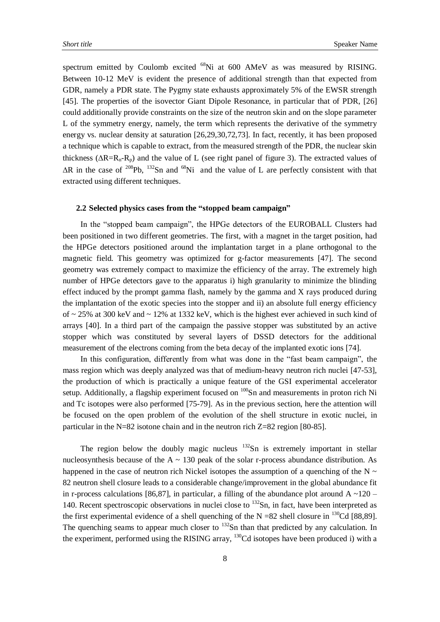spectrum emitted by Coulomb excited <sup>68</sup>Ni at 600 AMeV as was measured by RISING. Between 10-12 MeV is evident the presence of additional strength than that expected from GDR, namely a PDR state. The Pygmy state exhausts approximately 5% of the EWSR strength [45]. The properties of the isovector Giant Dipole Resonance, in particular that of PDR, [26] could additionally provide constraints on the size of the neutron skin and on the slope parameter L of the symmetry energy, namely, the term which represents the derivative of the symmetry energy vs. nuclear density at saturation [26,29,30,72,73]. In fact, recently, it has been proposed a technique which is capable to extract, from the measured strength of the PDR, the nuclear skin thickness ( $\Delta R=R_n-R_n$ ) and the value of L (see right panel of figure 3). The extracted values of  $\Delta R$  in the case of <sup>208</sup>Pb, <sup>132</sup>Sn and <sup>68</sup>Ni and the value of L are perfectly consistent with that extracted using different techniques.

## **2.2 Selected physics cases from the "stopped beam campaign"**

In the "stopped beam campaign", the HPGe detectors of the EUROBALL Clusters had been positioned in two different geometries. The first, with a magnet in the target position, had the HPGe detectors positioned around the implantation target in a plane orthogonal to the magnetic field. This geometry was optimized for g-factor measurements [47]. The second geometry was extremely compact to maximize the efficiency of the array. The extremely high number of HPGe detectors gave to the apparatus i) high granularity to minimize the blinding effect induced by the prompt gamma flash, namely by the gamma and X rays produced during the implantation of the exotic species into the stopper and ii) an absolute full energy efficiency of  $\sim$  25% at 300 keV and  $\sim$  12% at 1332 keV, which is the highest ever achieved in such kind of arrays [40]. In a third part of the campaign the passive stopper was substituted by an active stopper which was constituted by several layers of DSSD detectors for the additional measurement of the electrons coming from the beta decay of the implanted exotic ions [74].

In this configuration, differently from what was done in the "fast beam campaign", the mass region which was deeply analyzed was that of medium-heavy neutron rich nuclei [47-53], the production of which is practically a unique feature of the GSI experimental accelerator setup. Additionally, a flagship experiment focused on  $100$ Sn and measurements in proton rich Ni and Tc isotopes were also performed [75-79]. As in the previous section, here the attention will be focused on the open problem of the evolution of the shell structure in exotic nuclei, in particular in the N=82 isotone chain and in the neutron rich Z=82 region [80-85].

The region below the doubly magic nucleus  $132$ Sn is extremely important in stellar nucleosynthesis because of the  $A \sim 130$  peak of the solar r-process abundance distribution. As happened in the case of neutron rich Nickel isotopes the assumption of a quenching of the N  $\sim$ 82 neutron shell closure leads to a considerable change/improvement in the global abundance fit in r-process calculations [86,87], in particular, a filling of the abundance plot around A  $\sim$ 120 – 140. Recent spectroscopic observations in nuclei close to  $^{132}$ Sn, in fact, have been interpreted as the first experimental evidence of a shell quenching of the  $N = 82$  shell closure in <sup>130</sup>Cd [88,89]. The quenching seams to appear much closer to  $132$ Sn than that predicted by any calculation. In the experiment, performed using the RISING array,  $^{130}$ Cd isotopes have been produced i) with a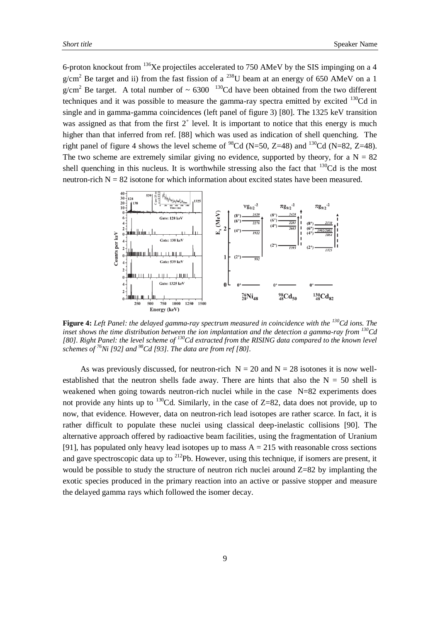6-proton knockout from  $^{136}$ Xe projectiles accelerated to 750 AMeV by the SIS impinging on a 4  $g/cm<sup>2</sup>$  Be target and ii) from the fast fission of a <sup>238</sup>U beam at an energy of 650 AMeV on a 1 g/cm<sup>2</sup> Be target. A total number of  $\sim 6300$  <sup>130</sup>Cd have been obtained from the two different techniques and it was possible to measure the gamma-ray spectra emitted by excited  $130^{\circ}$ Cd in single and in gamma-gamma coincidences (left panel of figure 3) [80]. The 1325 keV transition was assigned as that from the first  $2^+$  level. It is important to notice that this energy is much higher than that inferred from ref. [88] which was used as indication of shell quenching. The right panel of figure 4 shows the level scheme of  $^{98}Cd$  (N=50, Z=48) and  $^{130}Cd$  (N=82, Z=48). The two scheme are extremely similar giving no evidence, supported by theory, for a  $N = 82$ shell quenching in this nucleus. It is worthwhile stressing also the fact that  $130^{\circ}$ Cd is the most neutron-rich  $N = 82$  isotone for which information about excited states have been measured.



**Figure 4:** *Left Panel: the delayed gamma-ray spectrum measured in coincidence with the <sup>130</sup>Cd ions. The inset shows the time distribution between the ion implantation and the detection a gamma-ray from <sup>130</sup>Cd [80]. Right Panel: the level scheme of <sup>130</sup>Cd extracted from the RISING data compared to the known level schemes of <sup>76</sup>Ni [92] and <sup>98</sup>Cd [93]. The data are from ref [80].*

As was previously discussed, for neutron-rich  $N = 20$  and  $N = 28$  isotones it is now wellestablished that the neutron shells fade away. There are hints that also the  $N = 50$  shell is weakened when going towards neutron-rich nuclei while in the case N=82 experiments does not provide any hints up to  $130^{\circ}$ Cd. Similarly, in the case of Z=82, data does not provide, up to now, that evidence. However, data on neutron-rich lead isotopes are rather scarce. In fact, it is rather difficult to populate these nuclei using classical deep-inelastic collisions [90]. The alternative approach offered by radioactive beam facilities, using the fragmentation of Uranium [91], has populated only heavy lead isotopes up to mass  $A = 215$  with reasonable cross sections and gave spectroscopic data up to  $^{212}Pb$ . However, using this technique, if isomers are present, it would be possible to study the structure of neutron rich nuclei around  $Z=82$  by implanting the exotic species produced in the primary reaction into an active or passive stopper and measure the delayed gamma rays which followed the isomer decay.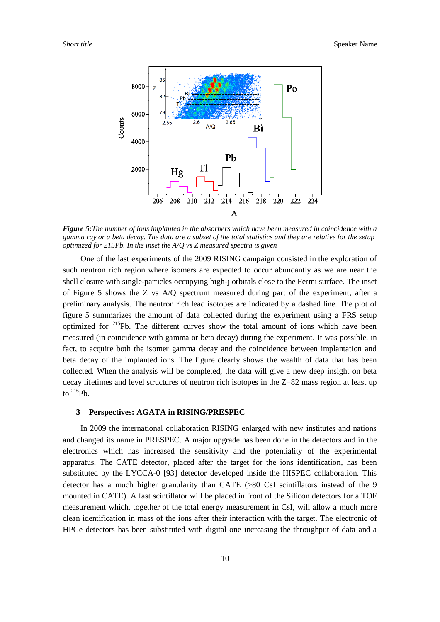

*Figure 5:The number of ions implanted in the absorbers which have been measured in coincidence with a gamma ray or a beta decay. The data are a subset of the total statistics and they are relative for the setup optimized for 215Pb. In the inset the A/Q vs Z measured spectra is given*

One of the last experiments of the 2009 RISING campaign consisted in the exploration of such neutron rich region where isomers are expected to occur abundantly as we are near the shell closure with single-particles occupying high-j orbitals close to the Fermi surface. The inset of Figure 5 shows the Z vs A/Q spectrum measured during part of the experiment, after a preliminary analysis. The neutron rich lead isotopes are indicated by a dashed line. The plot of figure 5 summarizes the amount of data collected during the experiment using a FRS setup optimized for <sup>215</sup>Pb. The different curves show the total amount of ions which have been measured (in coincidence with gamma or beta decay) during the experiment. It was possible, in fact, to acquire both the isomer gamma decay and the coincidence between implantation and beta decay of the implanted ions. The figure clearly shows the wealth of data that has been collected. When the analysis will be completed, the data will give a new deep insight on beta decay lifetimes and level structures of neutron rich isotopes in the Z=82 mass region at least up to  $^{216}Ph$ .

#### **3 Perspectives: AGATA in RISING/PRESPEC**

In 2009 the international collaboration RISING enlarged with new institutes and nations and changed its name in PRESPEC. A major upgrade has been done in the detectors and in the electronics which has increased the sensitivity and the potentiality of the experimental apparatus. The CATE detector, placed after the target for the ions identification, has been substituted by the LYCCA-0 [93] detector developed inside the HISPEC collaboration. This detector has a much higher granularity than CATE (>80 CsI scintillators instead of the 9 mounted in CATE). A fast scintillator will be placed in front of the Silicon detectors for a TOF measurement which, together of the total energy measurement in CsI, will allow a much more clean identification in mass of the ions after their interaction with the target. The electronic of HPGe detectors has been substituted with digital one increasing the throughput of data and a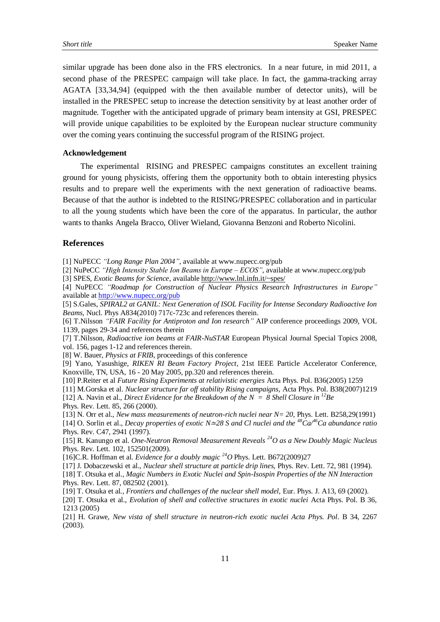similar upgrade has been done also in the FRS electronics. In a near future, in mid 2011, a second phase of the PRESPEC campaign will take place. In fact, the gamma-tracking array AGATA [33,34,94] (equipped with the then available number of detector units), will be installed in the PRESPEC setup to increase the detection sensitivity by at least another order of magnitude. Together with the anticipated upgrade of primary beam intensity at GSI, PRESPEC will provide unique capabilities to be exploited by the European nuclear structure community over the coming years continuing the successful program of the RISING project.

#### **Acknowledgement**

The experimental RISING and PRESPEC campaigns constitutes an excellent training ground for young physicists, offering them the opportunity both to obtain interesting physics results and to prepare well the experiments with the next generation of radioactive beams. Because of that the author is indebted to the RISING/PRESPEC collaboration and in particular to all the young students which have been the core of the apparatus. In particular, the author wants to thanks Angela Bracco, Oliver Wieland, Giovanna Benzoni and Roberto Nicolini.

### **References**

[1] NuPECC *"Long Range Plan 2004"*, available at www.nupecc.org/pub

[2] NuPeCC *"High Intensity Stable Ion Beams in Europe – ECOS"*, available at www.nupecc.org/pub

[3] SPES, *Exotic Beams for Science*, available <http://www.lnl.infn.it/~spes/>

[4] NuPECC *"Roadmap for Construction of Nuclear Physics Research Infrastructures in Europe"*  available at <http://www.nupecc.org/pub>

[5] S.Gales, *SPIRAL2 at GANIL: Next Generation of ISOL Facility for Intense Secondary Radioactive Ion Beams*, Nucl. Phys A834(2010) 717c-723c and references therein.

[6] T.Nilsson *"FAIR Facility for Antiproton and Ion research"* AIP conference proceedings 2009, VOL 1139, pages 29-34 and references therein

[7] T.Nilsson, *Radioactive ion beams at FAIR-NuSTAR* European Physical Journal Special Topics 2008, vol. 156, pages 1-12 and references therein.

[8] W. Bauer, *Physics at FRIB*, proceedings of this conference

[9] Yano, Yasushige, *RIKEN RI Beam Factory Project*, 21st IEEE Particle Accelerator Conference, Knoxville, TN, USA, 16 - 20 May 2005, pp.320 and references therein.

[10] P.Reiter et al *Future Rising Experiments at relativistic energies* Acta Phys. Pol. B36(2005) 1259

[11] M.Gorska et al. *Nuclear structure far off stability Rising campaigns,* Acta Phys. Pol. B38(2007)1219

[12] A. Navin et al., *Direct Evidence for the Breakdown of the N = 8 Shell Closure in <sup>12</sup>Be*

Phys. Rev. Lett. 85, 266 (2000).

[13] N. Orr et al., *New mass measurements of neutron-rich nuclei near N* = 20, Phys. Lett. B258,29(1991)

[14] O. Sorlin et al., *Decay properties of exotic N*≃*28 S and Cl nuclei and the <sup>48</sup>Ca/<sup>46</sup>Ca abundance ratio* Phys. Rev. C47, 2941 (1997).

[15] R. Kanungo et al. *One-Neutron Removal Measurement Reveals <sup>24</sup>O as a New Doubly Magic Nucleus* Phys. Rev. Lett. 102, 152501(2009).

[16]C.R. Hoffman et al. *Evidence for a doubly magic <sup>24</sup>O* Phys. Lett. B672(2009)27

[17] J. Dobaczewski et al., *Nuclear shell structure at particle drip lines,* Phys. Rev. Lett. 72, 981 (1994). [18] T. Otsuka et al., *Magic Numbers in Exotic Nuclei and Spin-Isospin Properties of the NN Interaction*

Phys. Rev. Lett. 87, 082502 (2001).

[19] T. Otsuka et al*., Frontiers and challenges of the nuclear shell model,* Eur. Phys. J. A13, 69 (2002).

[20] T. Otsuka et al., *Evolution of shell and collective structures in exotic nuclei* Acta Phys. Pol. B 36, 1213 (2005)

[21] H. Grawe, *New vista of shell structure in neutron-rich exotic nuclei Acta Phys. Pol*. B 34, 2267 (2003).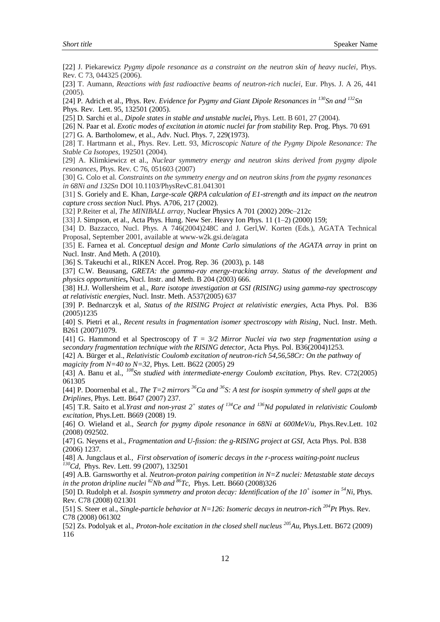[22] J. Piekarewicz *Pygmy dipole resonance as a constraint on the neutron skin of heavy nuclei,* Phys. Rev. C 73, 044325 (2006).

[23] T. Aumann, *Reactions with fast radioactive beams of neutron-rich nuclei*, Eur. Phys. J. A 26, 441 (2005).

[24] P. Adrich et al., Phys. Rev*. Evidence for Pygmy and Giant Dipole Resonances in <sup>130</sup>Sn and <sup>132</sup>Sn*  Phys. Rev. Lett. 95, 132501 (2005).

[25] D. Sarchi et al., *Dipole states in stable and unstable nuclei***,** Phys. Lett. B 601, 27 (2004).

[26] N. Paar et al. *Exotic modes of excitation in atomic nuclei far from stability* Rep. Prog. Phys. 70 691 [27] G. A. Bartholomew, et al., Adv. Nucl. Phys. 7, 229(1973).

[28] T. Hartmann et al., Phys. Rev. Lett. 93, *Microscopic Nature of the Pygmy Dipole Resonance: The Stable Ca Isotopes,* 192501 (2004).

[29] A. Klimkiewicz et al., *Nuclear symmetry energy and neutron skins derived from pygmy dipole resonances,* Phys. Rev. C 76, 051603 (2007)

[30] G. Colo et al. *Constraints on the symmetry energy and on neutron skins from the pygmy resonances in 68Ni and 132Sn* DO[I 10.1103/PhysRevC.81.041301](http://dx.doi.org/10.1103/PhysRevC.81.041301)

[31] S. Goriely and E. Khan, *Large-scale QRPA calculation of E1-strength and its impact on the neutron capture cross section* Nucl. Phys. A706, 217 (2002).

[32] P.Reiter et al, *The MINIBALL array,* Nuclear Physics A 701 (2002) 209c–212c

[33] J. Simpson, et al., Acta Phys. Hung. New Ser. Heavy Ion Phys. 11 (1–2) (2000) 159;

[34] D. Bazzacco, Nucl. Phys. A 746(2004)248C and J. Gerl, W. Korten (Eds.), AGATA Technical Proposal, September 2001, available at www-w2k.gsi.de/agata

[35] E. Farnea et al. *Conceptual design and Monte Carlo simulations of the AGATA array* in print on Nucl. Instr. And Meth. A (2010).

[36] S. Takeuchi et al., RIKEN Accel. Prog. Rep. 36 (2003), p. 148

[37] C.W. Beausang, *GRETA: the gamma-ray energy-tracking array. Status of the development and physics opportunities***,** Nucl. Instr. and Meth. B 204 (2003) 666.

[38] H.J. Wollersheim et al., *Rare isotope investigation at GSI (RISING) using gamma-ray spectroscopy at relativistic energies,* Nucl. Instr. Meth. A537(2005) 637

[39] P. Bednarczyk et al, *Status of the RISING Project at relativistic energies*, Acta Phys. Pol. B36 (2005)1235

[40] S. Pietri et al., *Recent results in fragmentation isomer spectroscopy with Rising,* Nucl. Instr. Meth. B261 (2007)1079.

[41] G. Hammond et al Spectroscopy of *T = 3/2 Mirror Nuclei via two step fragmentation using a secondary fragmentation technique with the RISING detector*, Acta Phys. Pol. B36(2004)1253.

[42] A. Bürger et al., *Relativistic Coulomb excitation of neutron-rich 54,56,58Cr: On the pathway of magicity from N=40 to N=32,* Phys. Lett. B622 (2005) 29

[43] A. Banu et al., *<sup>108</sup>Sn studied with intermediate-energy Coulomb excitation,* Phys. Rev. C72(2005) 061305

[44] P. Doornenbal et al., *The T=2 mirrors <sup>36</sup>Ca and <sup>36</sup>S: A test for isospin symmetry of shell gaps at the Driplines,* Phys. Lett. B647 (2007) 237.

[45] T.R. Saito et al.*Yrast and non-yrast*  $2^+$  *states of*  $^{134}Ce$  and  $^{136}Nd$  populated in relativistic Coulomb *excitation,* Phys.Lett. B669 (2008) 19.

[46] O. Wieland et al., *Search for pygmy dipole resonance in 68Ni at 600MeV/u,* Phys.Rev.Lett. 102 (2008) 092502.

[47] G. Neyens et al., *Fragmentation and U-fission: the g-RISING project at GSI,* Acta Phys. Pol. B38 (2006) 1237.

[48] A. Jungclaus et al*., First observation of isomeric decays in the r-process waiting-point nucleus <sup>130</sup>Cd,* Phys. Rev. Lett. 99 (2007), 132501

[49] A.B. Garnsworthy et al. *Neutron-proton pairing competition in N=Z nuclei: Metastable state decays in the proton dripline nuclei*  $^{82}Nb$  *and*  $^{86}Tc$ , Phys. Lett. B660 (2008)326

[50] D. Rudolph et al. *Isospin symmetry and proton decay: Identification of the 10<sup>+</sup> isomer in <sup>54</sup>Ni*, Phys. Rev. C78 (2008) 021301

[51] S. Steer et al., *Single-particle behavior at N=126: Isomeric decays in neutron-rich <sup>204</sup>Pt* Phys. Rev. C78 (2008) 061302

[52] Zs. Podolyak et al., *Proton-hole excitation in the closed shell nucleus <sup>205</sup>Au*, Phys.Lett. B672 (2009) 116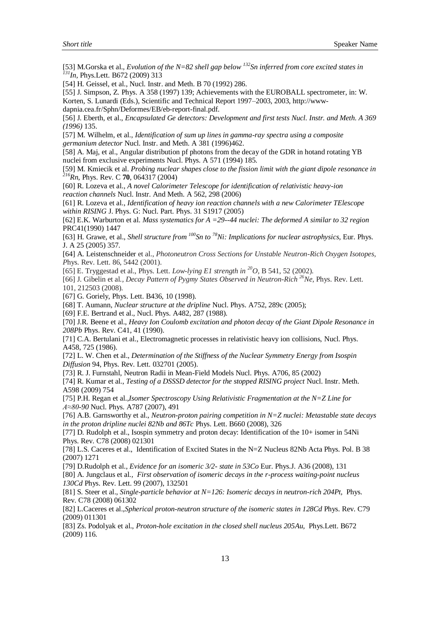[53] M.Gorska et al., *Evolution of the N=82 shell gap below <sup>132</sup>Sn inferred from core excited states in <sup>131</sup>In,* Phys.Lett. B672 (2009) 313 [54] H. Geissel, et al., Nucl. Instr. and Meth. B 70 (1992) 286. [55] J. Simpson, Z. Phys. A 358 (1997) 139; Achievements with the EUROBALL spectrometer, in: W. Korten, S. Lunardi (Eds.), Scientific and Technical Report 1997–2003, 2003, http://wwwdapnia.cea.fr/Sphn/Deformes/EB/eb-report-final.pdf. [56] J. Eberth, et al., *Encapsulated Ge detectors: Development and first tests Nucl. Instr. and Meth. A 369 (1996)* 135. [57] M. Wilhelm, et al., *Identification of sum up lines in gamma-ray spectra using a composite germanium detector* Nucl. Instr. and Meth. A 381 (1996)462. [58] A. Maj, et al., Angular distribution pf photons from the decay of the GDR in hotand rotating YB nuclei from exclusive experiments Nucl. Phys. A 571 (1994) 185. [59] M. Kmiecik et al. *Probing nuclear shapes close to the fission limit with the giant dipole resonance in <sup>216</sup>Rn*, Phys. Rev. C **70**, 064317 (2004) [60] R. Lozeva et al., *A novel Calorimeter Telescope for identification of relativistic heavy-ion reaction channels* Nucl. Instr. And Meth. A 562, 298 (2006) [61] R. Lozeva et al., *Identification of heavy ion reaction channels with a new Calorimeter TElescope within RISING* J. Phys. G: Nucl. Part. Phys. 31 S1917 (2005) [62] E.K. Warburton et al. *Mass systematics for A =29--44 nuclei: The deformed A similar to 32 region*  PRC41(1990) 1447 [63] H. Grawe, et al., *Shell structure from <sup>100</sup>Sn to <sup>78</sup>Ni: Implications for nuclear astrophysics,* Eur. Phys. J. A 25 (2005) 357. [64] A. Leistenschneider et al., *Photoneutron Cross Sections for Unstable Neutron-Rich Oxygen Isotopes, P*hys. Rev. Lett. 86, 5442 (2001). [65] E. Tryggestad et al., Phys. Lett. *Low-lying E1 strength in <sup>20</sup>O,* B 541, 52 (2002). [66] J. Gibelin et al*., Decay Pattern of Pygmy States Observed in Neutron-Rich <sup>26</sup>Ne,* Phys. Rev. Lett. 101, 212503 (2008). [67] G. Goriely, Phys. Lett. B436, 10 (1998). [68] T. Aumann, *Nuclear structure at the dripline* Nucl. Phys. A752, 289c (2005); [69] F.E. Bertrand et al., Nucl. Phys. A482, 287 (1988). [70] J.R. Beene et al., *Heavy Ion Coulomb excitation and photon decay of the Giant Dipole Resonance in 208Pb* Phys. Rev. C41, 41 (1990). [71] C.A. Bertulani et al., Electromagnetic processes in relativistic heavy ion collisions, Nucl. Phys. A458, 725 (1986). [72] L. W. Chen et al., *Determination of the Stiffness of the Nuclear Symmetry Energy from Isospin Diffusion* 94, Phys. Rev. Lett. 032701 (2005). [73] R. J. Furnstahl, Neutron Radii in Mean-Field Models Nucl. Phys. A706, 85 (2002) [74] R. Kumar et al., *Testing of a DSSSD detector for the stopped RISING project* Nucl. Instr. Meth. A598 (2009) 754 [75] P.H. Regan et al.,*Isomer Spectroscopy Using Relativistic Fragmentation at the N=Z Line for A≈80-90* Nucl. Phys. A787 (2007), 491 [76] A.B. Garnsworthy et al., *Neutron-proton pairing competition in N=Z nuclei: Metastable state decays in the proton dripline nuclei 82Nb and 86Tc* Phys. Lett. B660 (2008), 326

[77] D. Rudolph et al., Isospin symmetry and proton decay: Identification of the 10+ isomer in 54Ni Phys. Rev. C78 (2008) 021301

[78] L.S. Caceres et al., Identification of Excited States in the N=Z Nucleus 82Nb Acta Phys. Pol. B 38 (2007) 1271

[79] D.Rudolph et al., *Evidence for an isomeric 3/2- state in 53Co* Eur. Phys.J. A36 (2008), 131

[80] A. Jungclaus et al*., First observation of isomeric decays in the r-process waiting-point nucleus 130Cd* Phys. Rev. Lett. 99 (2007), 132501

[81] S. Steer et al., *Single-particle behavior at N=126: Isomeric decays in neutron-rich 204Pt,* Phys. Rev. C78 (2008) 061302

[82] L.Caceres et al.,*Spherical proton-neutron structure of the isomeric states in 128Cd Phys. Rev. C79* (2009) 011301

[83] Zs. Podolyak et al., *Proton-hole excitation in the closed shell nucleus 205Au*, Phys.Lett. B672 (2009) 116.